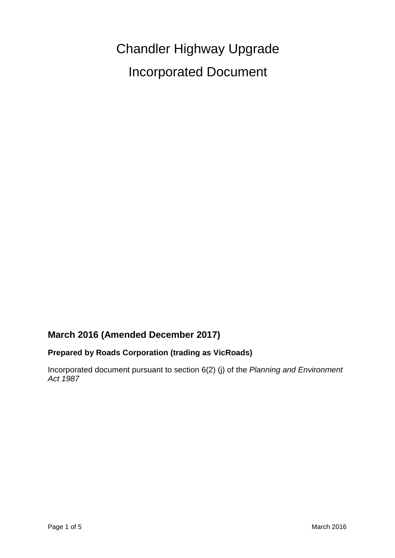Chandler Highway Upgrade Incorporated Document

# **March 2016 (Amended December 2017)**

## **Prepared by Roads Corporation (trading as VicRoads)**

Incorporated document pursuant to section 6(2) (j) of the *Planning and Environment Act 1987*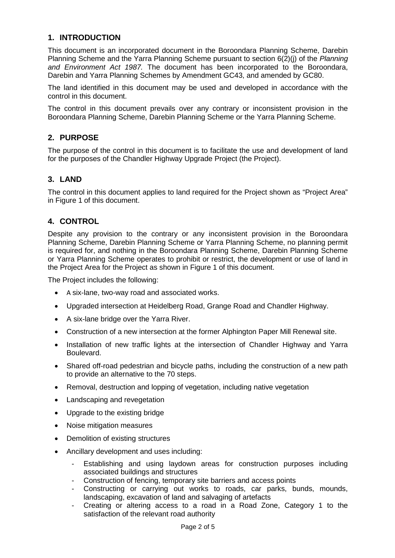## **1. INTRODUCTION**

This document is an incorporated document in the Boroondara Planning Scheme, Darebin Planning Scheme and the Yarra Planning Scheme pursuant to section 6(2)(j) of the *Planning and Environment Act 1987.* The document has been incorporated to the Boroondara, Darebin and Yarra Planning Schemes by Amendment GC43, and amended by GC80.

The land identified in this document may be used and developed in accordance with the control in this document.

The control in this document prevails over any contrary or inconsistent provision in the Boroondara Planning Scheme, Darebin Planning Scheme or the Yarra Planning Scheme.

## **2. PURPOSE**

The purpose of the control in this document is to facilitate the use and development of land for the purposes of the Chandler Highway Upgrade Project (the Project).

### **3. LAND**

The control in this document applies to land required for the Project shown as "Project Area" in Figure 1 of this document.

## **4. CONTROL**

Despite any provision to the contrary or any inconsistent provision in the Boroondara Planning Scheme, Darebin Planning Scheme or Yarra Planning Scheme, no planning permit is required for, and nothing in the Boroondara Planning Scheme, Darebin Planning Scheme or Yarra Planning Scheme operates to prohibit or restrict, the development or use of land in the Project Area for the Project as shown in Figure 1 of this document.

The Project includes the following:

- A six-lane, two-way road and associated works.
- Upgraded intersection at Heidelberg Road, Grange Road and Chandler Highway.
- A six-lane bridge over the Yarra River.
- Construction of a new intersection at the former Alphington Paper Mill Renewal site.
- Installation of new traffic lights at the intersection of Chandler Highway and Yarra Boulevard.
- Shared off-road pedestrian and bicycle paths, including the construction of a new path to provide an alternative to the 70 steps.
- Removal, destruction and lopping of vegetation, including native vegetation
- Landscaping and revegetation
- Upgrade to the existing bridge
- Noise mitigation measures
- Demolition of existing structures
- Ancillary development and uses including:
	- Establishing and using laydown areas for construction purposes including associated buildings and structures
	- Construction of fencing, temporary site barriers and access points
	- Constructing or carrying out works to roads, car parks, bunds, mounds, landscaping, excavation of land and salvaging of artefacts
	- Creating or altering access to a road in a Road Zone, Category 1 to the satisfaction of the relevant road authority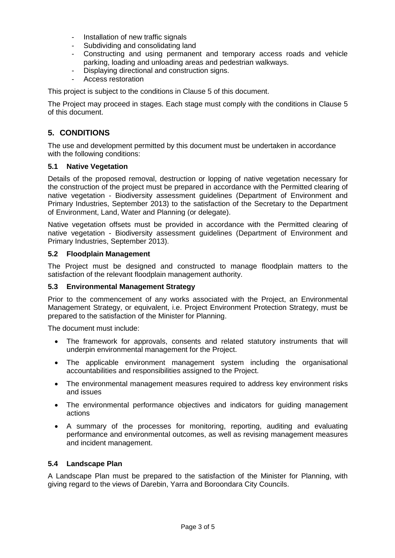- Installation of new traffic signals
- Subdividing and consolidating land
- Constructing and using permanent and temporary access roads and vehicle parking, loading and unloading areas and pedestrian walkways.
- Displaying directional and construction signs.
- Access restoration

This project is subject to the conditions in Clause 5 of this document.

The Project may proceed in stages. Each stage must comply with the conditions in Clause 5 of this document.

# **5. CONDITIONS**

The use and development permitted by this document must be undertaken in accordance with the following conditions:

### **5.1 Native Vegetation**

Details of the proposed removal, destruction or lopping of native vegetation necessary for the construction of the project must be prepared in accordance with the Permitted clearing of native vegetation - Biodiversity assessment guidelines (Department of Environment and Primary Industries, September 2013) to the satisfaction of the Secretary to the Department of Environment, Land, Water and Planning (or delegate).

Native vegetation offsets must be provided in accordance with the Permitted clearing of native vegetation - Biodiversity assessment guidelines (Department of Environment and Primary Industries, September 2013).

#### **5.2 Floodplain Management**

The Project must be designed and constructed to manage floodplain matters to the satisfaction of the relevant floodplain management authority.

#### **5.3 Environmental Management Strategy**

Prior to the commencement of any works associated with the Project, an Environmental Management Strategy, or equivalent, i.e. Project Environment Protection Strategy, must be prepared to the satisfaction of the Minister for Planning.

The document must include:

- The framework for approvals, consents and related statutory instruments that will underpin environmental management for the Project.
- The applicable environment management system including the organisational accountabilities and responsibilities assigned to the Project.
- The environmental management measures required to address key environment risks and issues
- The environmental performance objectives and indicators for guiding management actions
- A summary of the processes for monitoring, reporting, auditing and evaluating performance and environmental outcomes, as well as revising management measures and incident management.

#### **5.4 Landscape Plan**

A Landscape Plan must be prepared to the satisfaction of the Minister for Planning, with giving regard to the views of Darebin, Yarra and Boroondara City Councils.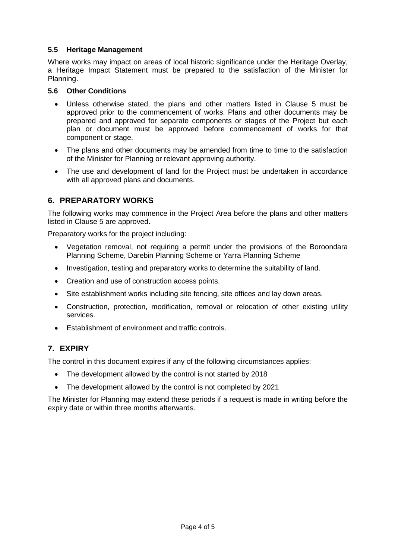### **5.5 Heritage Management**

Where works may impact on areas of local historic significance under the Heritage Overlay, a Heritage Impact Statement must be prepared to the satisfaction of the Minister for Planning.

#### **5.6 Other Conditions**

- Unless otherwise stated, the plans and other matters listed in Clause 5 must be approved prior to the commencement of works. Plans and other documents may be prepared and approved for separate components or stages of the Project but each plan or document must be approved before commencement of works for that component or stage.
- The plans and other documents may be amended from time to time to the satisfaction of the Minister for Planning or relevant approving authority.
- The use and development of land for the Project must be undertaken in accordance with all approved plans and documents.

## **6. PREPARATORY WORKS**

The following works may commence in the Project Area before the plans and other matters listed in Clause 5 are approved.

Preparatory works for the project including:

- Vegetation removal, not requiring a permit under the provisions of the Boroondara Planning Scheme, Darebin Planning Scheme or Yarra Planning Scheme
- Investigation, testing and preparatory works to determine the suitability of land.
- Creation and use of construction access points.
- Site establishment works including site fencing, site offices and lay down areas.
- Construction, protection, modification, removal or relocation of other existing utility services.
- Establishment of environment and traffic controls.

## **7. EXPIRY**

The control in this document expires if any of the following circumstances applies:

- The development allowed by the control is not started by 2018
- The development allowed by the control is not completed by 2021

The Minister for Planning may extend these periods if a request is made in writing before the expiry date or within three months afterwards.